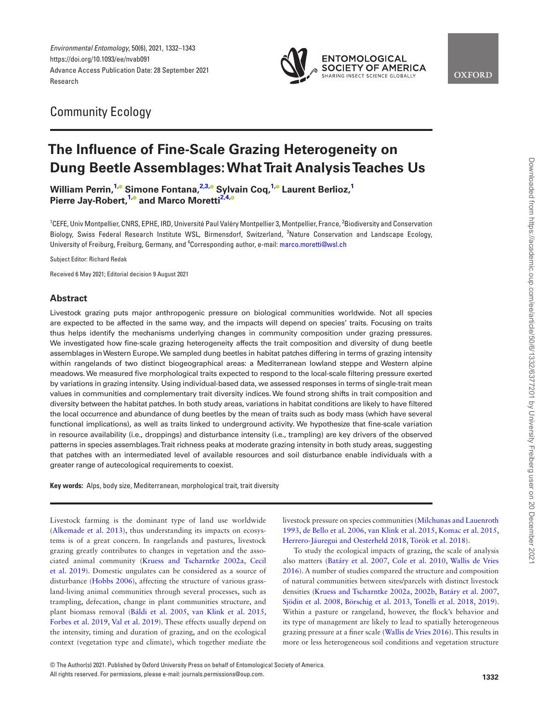*Environmental Entomology*, 50(6), 2021, 1332–1343 https://doi.org/10.1093/ee/nvab091 Advance Access Publication Date: 28 September 2021 Research



**OXFORD** 

## Community Ecology

# **The Influence of Fine-Scale Grazing Heterogeneity on Dung Beetle Assemblages: What Trait Analysis Teaches Us**

**William Perrin**[,](https://orcid.org/0000-0002-7887-0247) <sup>[1](#page-0-0),</sup> **Simone Fontana**, <sup>2,[3](#page-0-2),</sup> **Sylvain Coq**, <sup>1,</sup> **Laurent Berlioz**, <sup>1</sup> **Pierre Jay-Robert[,1](#page-0-0)[,](https://orcid.org/0000-0002-5629-1826) and Marco Moretti[2](#page-0-1)[,4](#page-0-3)[,](https://orcid.org/0000-0002-5845-3198)**

<span id="page-0-2"></span><span id="page-0-1"></span><span id="page-0-0"></span><sup>1</sup>CEFE, Univ Montpellier, CNRS, EPHE, IRD, Université Paul Valéry Montpellier 3, Montpellier, France, <sup>2</sup>Biodiversity and Conservation Biology, Swiss Federal Research Institute WSL, Birmensdorf, Switzerland, <sup>3</sup>Nature Conservation and Landscape Ecology, University of Freiburg, Freiburg, Germany, and <sup>4</sup>Corresponding author, e-mail: [marco.moretti@wsl.ch](mailto:marco.moretti@wsl.ch?subject=)

<span id="page-0-3"></span>Subject Editor: Richard Redak

Received 6 May 2021; Editorial decision 9 August 2021

## **Abstract**

Livestock grazing puts major anthropogenic pressure on biological communities worldwide. Not all species are expected to be affected in the same way, and the impacts will depend on species' traits. Focusing on traits thus helps identify the mechanisms underlying changes in community composition under grazing pressures. We investigated how fine-scale grazing heterogeneity affects the trait composition and diversity of dung beetle assemblages in Western Europe. We sampled dung beetles in habitat patches differing in terms of grazing intensity within rangelands of two distinct biogeographical areas: a Mediterranean lowland steppe and Western alpine meadows. We measured five morphological traits expected to respond to the local-scale filtering pressure exerted by variations in grazing intensity. Using individual-based data, we assessed responses in terms of single-trait mean values in communities and complementary trait diversity indices. We found strong shifts in trait composition and diversity between the habitat patches. In both study areas, variations in habitat conditions are likely to have filtered the local occurrence and abundance of dung beetles by the mean of traits such as body mass (which have several functional implications), as well as traits linked to underground activity. We hypothesize that fine-scale variation in resource availability (i.e., droppings) and disturbance intensity (i.e., trampling) are key drivers of the observed patterns in species assemblages. Trait richness peaks at moderate grazing intensity in both study areas, suggesting that patches with an intermediated level of available resources and soil disturbance enable individuals with a greater range of autecological requirements to coexist.

**Key words:** Alps, body size, Mediterranean, morphological trait, trait diversity

Livestock farming is the dominant type of land use worldwide ([Alkemade et al. 2013\)](#page-8-0), thus understanding its impacts on ecosystems is of a great concern. In rangelands and pastures, livestock grazing greatly contributes to changes in vegetation and the associated animal community [\(Kruess and Tscharntke 2002a](#page-10-0), [Cecil](#page-9-0) [et al. 2019\)](#page-9-0). Domestic ungulates can be considered as a source of disturbance ([Hobbs 2006](#page-9-1)), affecting the structure of various grassland-living animal communities through several processes, such as trampling, defecation, change in plant communities structure, and plant biomass removal ([Báldi et al. 2005](#page-8-1), [van Klink et al. 2015](#page-10-1), [Forbes et al. 2019,](#page-9-2) [Val et al. 2019\)](#page-11-0). These effects usually depend on the intensity, timing and duration of grazing, and on the ecological context (vegetation type and climate), which together mediate the

livestock pressure on species communities ([Milchunas and Lauenroth](#page-10-2) [1993,](#page-10-2) [de Bello et al. 2006](#page-8-2), [van Klink et al. 2015,](#page-10-1) [Komac et al. 2015](#page-10-3), Herrero‐[Jáuregui and Oesterheld 2018](#page-9-3), [Török et al. 2018](#page-11-1)).

To study the ecological impacts of grazing, the scale of analysis also matters ([Batáry et al. 2007,](#page-8-3) [Cole et al. 2010,](#page-9-4) [Wallis de Vries](#page-11-2) [2016](#page-11-2)). A number of studies compared the structure and composition of natural communities between sites/parcels with distinct livestock densities ([Kruess and Tscharntke 2002a](#page-10-0), [2002b](#page-10-4), [Batáry et al. 2007](#page-8-3), [Sjödin et al. 2008,](#page-11-3) [Börschig et al. 2013](#page-8-4), [Tonelli et al. 2018](#page-11-4), [2019\)](#page-11-5). Within a pasture or rangeland, however, the flock's behavior and its type of management are likely to lead to spatially heterogeneous grazing pressure at a finer scale ([Wallis de Vries 2016](#page-11-2)). This results in more or less heterogeneous soil conditions and vegetation structure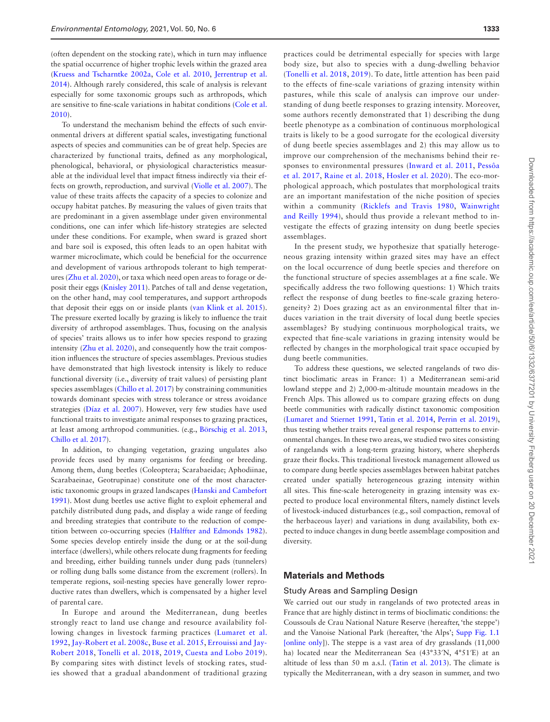(often dependent on the stocking rate), which in turn may influence the spatial occurrence of higher trophic levels within the grazed area ([Kruess and Tscharntke 2002a,](#page-10-0) [Cole et al. 2010](#page-9-4), [Jerrentrup et al.](#page-9-5) [2014\)](#page-9-5). Although rarely considered, this scale of analysis is relevant especially for some taxonomic groups such as arthropods, which are sensitive to fine-scale variations in habitat conditions [\(Cole et al.](#page-9-4) [2010\)](#page-9-4).

To understand the mechanism behind the effects of such environmental drivers at different spatial scales, investigating functional aspects of species and communities can be of great help. Species are characterized by functional traits, defined as any morphological, phenological, behavioral, or physiological characteristics measurable at the individual level that impact fitness indirectly via their effects on growth, reproduction, and survival ([Violle et al. 2007](#page-11-6)). The value of these traits affects the capacity of a species to colonize and occupy habitat patches. By measuring the values of given traits that are predominant in a given assemblage under given environmental conditions, one can infer which life-history strategies are selected under these conditions. For example, when sward is grazed short and bare soil is exposed, this often leads to an open habitat with warmer microclimate, which could be beneficial for the occurrence and development of various arthropods tolerant to high temperatures ([Zhu et al. 2020\)](#page-11-7), or taxa which need open areas to forage or deposit their eggs [\(Knisley 2011](#page-10-5)). Patches of tall and dense vegetation, on the other hand, may cool temperatures, and support arthropods that deposit their eggs on or inside plants ([van Klink et al. 2015](#page-10-1)). The pressure exerted locally by grazing is likely to influence the trait diversity of arthropod assemblages. Thus, focusing on the analysis of species' traits allows us to infer how species respond to grazing intensity [\(Zhu et al. 2020](#page-11-7)), and consequently how the trait composition influences the structure of species assemblages. Previous studies have demonstrated that high livestock intensity is likely to reduce functional diversity (i.e., diversity of trait values) of persisting plant species assemblages ([Chillo et al. 2017\)](#page-9-6) by constraining communities towards dominant species with stress tolerance or stress avoidance strategies ([Díaz et al. 2007\)](#page-9-7). However, very few studies have used functional traits to investigate animal responses to grazing practices, at least among arthropod communities. (e.g., [Börschig et al. 2013](#page-8-4), [Chillo et al. 2017](#page-9-6)).

In addition, to changing vegetation, grazing ungulates also provide feces used by many organisms for feeding or breeding. Among them, dung beetles (Coleoptera; Scarabaeidae; Aphodiinae, Scarabaeinae, Geotrupinae) constitute one of the most characteristic taxonomic groups in grazed landscapes [\(Hanski and Cambefort](#page-9-8) [1991\)](#page-9-8). Most dung beetles use active flight to exploit ephemeral and patchily distributed dung pads, and display a wide range of feeding and breeding strategies that contribute to the reduction of competition between co-occurring species [\(Halffter and Edmonds 1982](#page-9-9)). Some species develop entirely inside the dung or at the soil-dung interface (dwellers), while others relocate dung fragments for feeding and breeding, either building tunnels under dung pads (tunnelers) or rolling dung balls some distance from the excrement (rollers). In temperate regions, soil-nesting species have generally lower reproductive rates than dwellers, which is compensated by a higher level of parental care.

In Europe and around the Mediterranean, dung beetles strongly react to land use change and resource availability following changes in livestock farming practices ([Lumaret et al.](#page-10-6) [1992,](#page-10-6) [Jay-Robert et al. 2008c,](#page-9-10) [Buse et al. 2015](#page-8-5), [Errouissi and Jay-](#page-9-11)[Robert 2018](#page-9-11), [Tonelli et al. 2018,](#page-11-4) [2019,](#page-11-5) [Cuesta and Lobo 2019](#page-9-12)). By comparing sites with distinct levels of stocking rates, studies showed that a gradual abandonment of traditional grazing

practices could be detrimental especially for species with large body size, but also to species with a dung-dwelling behavior ([Tonelli et al. 2018,](#page-11-4) [2019\)](#page-11-5). To date, little attention has been paid to the effects of fine-scale variations of grazing intensity within pastures, while this scale of analysis can improve our understanding of dung beetle responses to grazing intensity. Moreover, some authors recently demonstrated that 1) describing the dung beetle phenotype as a combination of continuous morphological traits is likely to be a good surrogate for the ecological diversity of dung beetle species assemblages and 2) this may allow us to improve our comprehension of the mechanisms behind their responses to environmental pressures ([Inward et al. 2011](#page-9-13), [Pessôa](#page-10-7) [et al. 2017](#page-10-7), [Raine et al. 2018](#page-10-8), [Hosler et al. 2020](#page-9-14)). The eco-morphological approach, which postulates that morphological traits are an important manifestation of the niche position of species within a community [\(Ricklefs and Travis 1980,](#page-10-9) [Wainwright](#page-11-8) [and Reilly 1994](#page-11-8)), should thus provide a relevant method to investigate the effects of grazing intensity on dung beetle species assemblages.

In the present study, we hypothesize that spatially heterogeneous grazing intensity within grazed sites may have an effect on the local occurrence of dung beetle species and therefore on the functional structure of species assemblages at a fine scale. We specifically address the two following questions: 1) Which traits reflect the response of dung beetles to fine-scale grazing heterogeneity? 2) Does grazing act as an environmental filter that induces variation in the trait diversity of local dung beetle species assemblages? By studying continuous morphological traits, we expected that fine-scale variations in grazing intensity would be reflected by changes in the morphological trait space occupied by dung beetle communities.

To address these questions, we selected rangelands of two distinct bioclimatic areas in France: 1) a Mediterranean semi-arid lowland steppe and 2) 2,000-m-altitude mountain meadows in the French Alps. This allowed us to compare grazing effects on dung beetle communities with radically distinct taxonomic composition ([Lumaret and Stiernet 1991](#page-10-10), [Tatin et al. 2014](#page-11-9), [Perrin et al. 2019](#page-10-11)), thus testing whether traits reveal general response patterns to environmental changes. In these two areas, we studied two sites consisting of rangelands with a long-term grazing history, where shepherds graze their flocks. This traditional livestock management allowed us to compare dung beetle species assemblages between habitat patches created under spatially heterogeneous grazing intensity within all sites. This fine-scale heterogeneity in grazing intensity was expected to produce local environmental filters, namely distinct levels of livestock-induced disturbances (e.g., soil compaction, removal of the herbaceous layer) and variations in dung availability, both expected to induce changes in dung beetle assemblage composition and diversity.

## **Materials and Methods**

### Study Areas and Sampling Design

We carried out our study in rangelands of two protected areas in France that are highly distinct in terms of bioclimatic conditions: the Coussouls de Crau National Nature Reserve (hereafter, 'the steppe') and the Vanoise National Park (hereafter, 'the Alps'; [Supp Fig. 1.1](http://academic.oup.com/ee/article-lookup/doi/10.1093/ee/nvab091#supplementary-data) [\[online only](http://academic.oup.com/ee/article-lookup/doi/10.1093/ee/nvab091#supplementary-data)]). The steppe is a vast area of dry grasslands (11,000 ha) located near the Mediterranean Sea (43°33′N, 4°51′E) at an altitude of less than 50 m a.s.l. [\(Tatin et al. 2013\)](#page-11-10). The climate is typically the Mediterranean, with a dry season in summer, and two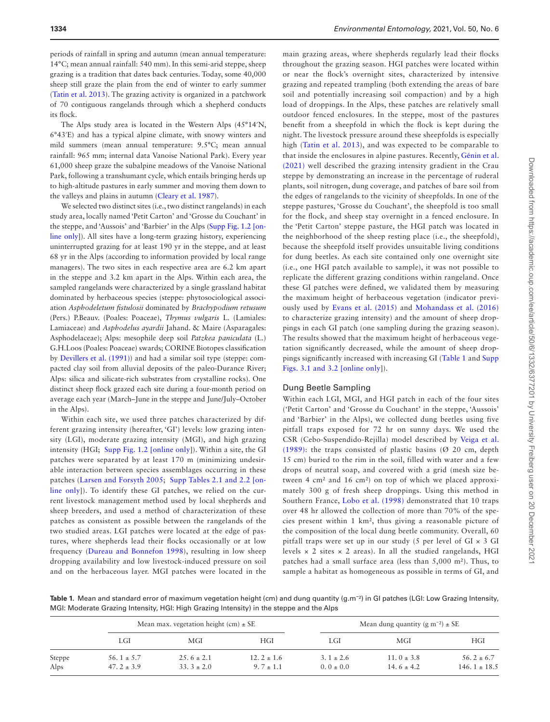periods of rainfall in spring and autumn (mean annual temperature: 14°C; mean annual rainfall: 540 mm). In this semi-arid steppe, sheep grazing is a tradition that dates back centuries. Today, some 40,000 sheep still graze the plain from the end of winter to early summer ([Tatin et al. 2013](#page-11-10)). The grazing activity is organized in a patchwork of 70 contiguous rangelands through which a shepherd conducts its flock.

The Alps study area is located in the Western Alps (45°14′N, 6°43′E) and has a typical alpine climate, with snowy winters and mild summers (mean annual temperature: 9.5°C; mean annual rainfall: 965 mm; internal data Vanoise National Park). Every year 61,000 sheep graze the subalpine meadows of the Vanoise National Park, following a transhumant cycle, which entails bringing herds up to high-altitude pastures in early summer and moving them down to the valleys and plains in autumn ([Cleary et al. 1987](#page-9-15)).

We selected two distinct sites (i.e., two distinct rangelands) in each study area, locally named 'Petit Carton' and 'Grosse du Couchant' in the steppe, and 'Aussois' and 'Barbier' in the Alps ([Supp Fig. 1.2 \[on](http://academic.oup.com/ee/article-lookup/doi/10.1093/ee/nvab091#supplementary-data)[line only\]](http://academic.oup.com/ee/article-lookup/doi/10.1093/ee/nvab091#supplementary-data)). All sites have a long-term grazing history, experiencing uninterrupted grazing for at least 190 yr in the steppe, and at least 68 yr in the Alps (according to information provided by local range managers). The two sites in each respective area are 6.2 km apart in the steppe and 3.2 km apart in the Alps. Within each area, the sampled rangelands were characterized by a single grassland habitat dominated by herbaceous species (steppe: phytosociological association *Asphodeletum fistulosii* dominated by *Brachypodium retusum* (Pers.) P.Beauv. (Poales: Poaceae), *Thymus vulgaris* L. (Lamiales: Lamiaceae) and *Asphodelus ayardii* Jahand. & Maire (Asparagales: Asphodelaceae); Alps: mesophile deep soil *Patzkea paniculata* (L.) G.H.Loos (Poales: Poaceae) swards; CORINE Biotopes classification by [Devillers et al. \(1991\)\)](#page-9-16) and had a similar soil type (steppe: compacted clay soil from alluvial deposits of the paleo-Durance River; Alps: silica and silicate-rich substrates from crystalline rocks). One distinct sheep flock grazed each site during a four-month period on average each year (March–June in the steppe and June/July–October in the Alps).

Within each site, we used three patches characterized by different grazing intensity (hereafter, 'GI') levels: low grazing intensity (LGI), moderate grazing intensity (MGI), and high grazing intensity (HGI; [Supp Fig. 1.2 \[online only\]](http://academic.oup.com/ee/article-lookup/doi/10.1093/ee/nvab091#supplementary-data)). Within a site, the GI patches were separated by at least 170 m (minimizing undesirable interaction between species assemblages occurring in these patches [\(Larsen and Forsyth 2005;](#page-10-12) [Supp Tables 2.1 and 2.2 \[on](http://academic.oup.com/ee/article-lookup/doi/10.1093/ee/nvab091#supplementary-data)[line only\]](http://academic.oup.com/ee/article-lookup/doi/10.1093/ee/nvab091#supplementary-data)). To identify these GI patches, we relied on the current livestock management method used by local shepherds and sheep breeders, and used a method of characterization of these patches as consistent as possible between the rangelands of the two studied areas. LGI patches were located at the edge of pastures, where shepherds lead their flocks occasionally or at low frequency ([Dureau and Bonnefon 1998\)](#page-9-17), resulting in low sheep dropping availability and low livestock-induced pressure on soil and on the herbaceous layer. MGI patches were located in the

main grazing areas, where shepherds regularly lead their flocks throughout the grazing season. HGI patches were located within or near the flock's overnight sites, characterized by intensive grazing and repeated trampling (both extending the areas of bare soil and potentially increasing soil compaction) and by a high load of droppings. In the Alps, these patches are relatively small outdoor fenced enclosures. In the steppe, most of the pastures benefit from a sheepfold in which the flock is kept during the night. The livestock pressure around these sheepfolds is especially high ([Tatin et al. 2013\)](#page-11-10), and was expected to be comparable to that inside the enclosures in alpine pastures. Recently, Gé[nin et al.](#page-9-18) [\(2021\)](#page-9-18) well described the grazing intensity gradient in the Crau steppe by demonstrating an increase in the percentage of ruderal plants, soil nitrogen, dung coverage, and patches of bare soil from the edges of rangelands to the vicinity of sheepfolds. In one of the steppe pastures, 'Grosse du Couchant', the sheepfold is too small for the flock, and sheep stay overnight in a fenced enclosure. In the 'Petit Carton' steppe pasture, the HGI patch was located in the neighborhood of the sheep resting place (i.e., the sheepfold), because the sheepfold itself provides unsuitable living conditions for dung beetles. As each site contained only one overnight site (i.e., one HGI patch available to sample), it was not possible to replicate the different grazing conditions within rangeland. Once these GI patches were defined, we validated them by measuring the maximum height of herbaceous vegetation (indicator previously used by [Evans et al. \(2015\)](#page-9-19) and [Mohandass et al. \(2016\)](#page-10-13) to characterize grazing intensity) and the amount of sheep droppings in each GI patch (one sampling during the grazing season). The results showed that the maximum height of herbaceous vegetation significantly decreased, while the amount of sheep droppings significantly increased with increasing GI ([Table 1](#page-2-0) and [Supp](http://academic.oup.com/ee/article-lookup/doi/10.1093/ee/nvab091#supplementary-data) [Figs. 3.1 and 3.2 \[online only](http://academic.oup.com/ee/article-lookup/doi/10.1093/ee/nvab091#supplementary-data)]).

#### Dung Beetle Sampling

Within each LGI, MGI, and HGI patch in each of the four sites ('Petit Carton' and 'Grosse du Couchant' in the steppe, 'Aussois' and 'Barbier' in the Alps), we collected dung beetles using five pitfall traps exposed for 72 hr on sunny days. We used the CSR (Cebo-Suspendido-Rejilla) model described by [Veiga et al.](#page-11-11) [\(1989\)](#page-11-11): the traps consisted of plastic basins ( $\varnothing$  20 cm, depth 15 cm) buried to the rim in the soil, filled with water and a few drops of neutral soap, and covered with a grid (mesh size between 4 cm² and 16 cm²) on top of which we placed approximately 300 g of fresh sheep droppings. Using this method in Southern France, [Lobo et al. \(1998\)](#page-10-14) demonstrated that 10 traps over 48 hr allowed the collection of more than 70% of the species present within 1 km², thus giving a reasonable picture of the composition of the local dung beetle community. Overall, 60 pitfall traps were set up in our study (5 per level of GI × 3 GI levels  $\times$  2 sites  $\times$  2 areas). In all the studied rangelands, HGI patches had a small surface area (less than 5,000 m²). Thus, to sample a habitat as homogeneous as possible in terms of GI, and

<span id="page-2-0"></span>**Table 1.** Mean and standard error of maximum vegetation height (cm) and dung quantity (g.m<sup>-2</sup>) in GI patches (LGI: Low Grazing Intensity, MGI: Moderate Grazing Intensity, HGI: High Grazing Intensity) in the steppe and the Alps

|        | Mean max. vegetation height $(cm) \pm SE$ |                |                | Mean dung quantity (g m <sup>-2</sup> ) $\pm$ SE |                |                  |
|--------|-------------------------------------------|----------------|----------------|--------------------------------------------------|----------------|------------------|
|        | LGI                                       | MGI            | <b>HGI</b>     | LGI                                              | MGI            | HGI              |
| Steppe | 56.1 $\pm$ 5.7                            | $25.6 \pm 2.1$ | $12.2 \pm 1.6$ | $3.1 \pm 2.6$                                    | $11.0 \pm 3.8$ | $56.2 \pm 6.7$   |
| Alps   | $47.2 \pm 3.9$                            | $33.3 \pm 2.0$ | $9.7 \pm 1.1$  | $0.0 \pm 0.0$                                    | 14.6 $\pm$ 4.2 | 146.1 $\pm$ 18.5 |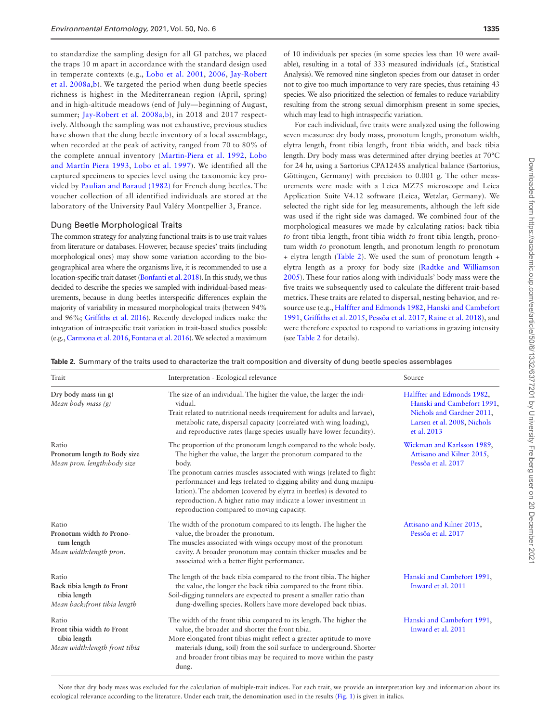to standardize the sampling design for all GI patches, we placed the traps 10 m apart in accordance with the standard design used in temperate contexts (e.g., [Lobo et al. 2001,](#page-10-15) [2006](#page-10-16), [Jay-Robert](#page-9-20) [et al. 2008a](#page-9-20),[b](#page-9-21)). We targeted the period when dung beetle species richness is highest in the Mediterranean region (April, spring) and in high-altitude meadows (end of July—beginning of August, summer; [Jay-Robert et al. 2008a](#page-9-20),[b](#page-9-21)), in 2018 and 2017 respectively. Although the sampling was not exhaustive, previous studies have shown that the dung beetle inventory of a local assemblage, when recorded at the peak of activity, ranged from 70 to 80% of the complete annual inventory [\(Martin-Piera et al. 1992,](#page-10-17) [Lobo](#page-10-18) [and Martín Piera 1993,](#page-10-18) [Lobo et al. 1997\)](#page-10-19). We identified all the captured specimens to species level using the taxonomic key provided by [Paulian and Baraud \(1982\)](#page-10-20) for French dung beetles. The voucher collection of all identified individuals are stored at the laboratory of the University Paul Valéry Montpellier 3, France.

#### Dung Beetle Morphological Traits

The common strategy for analyzing functional traits is to use trait values from literature or databases. However, because species' traits (including morphological ones) may show some variation according to the biogeographical area where the organisms live, it is recommended to use a location-specific trait dataset [\(Bonfanti et al. 2018\)](#page-8-6). In this study, we thus decided to describe the species we sampled with individual-based measurements, because in dung beetles interspecific differences explain the majority of variability in measured morphological traits (between 94% and 96%; [Griffiths et al. 2016](#page-9-22)). Recently developed indices make the integration of intraspecific trait variation in trait-based studies possible (e.g., [Carmona et al. 2016,](#page-9-23) [Fontana et al. 2016\)](#page-9-24). We selected a maximum of 10 individuals per species (in some species less than 10 were available), resulting in a total of 333 measured individuals (cf., Statistical Analysis). We removed nine singleton species from our dataset in order not to give too much importance to very rare species, thus retaining 43 species. We also prioritized the selection of females to reduce variability resulting from the strong sexual dimorphism present in some species, which may lead to high intraspecific variation.

For each individual, five traits were analyzed using the following seven measures: dry body mass, pronotum length, pronotum width, elytra length, front tibia length, front tibia width, and back tibia length. Dry body mass was determined after drying beetles at 70°C for 24 hr, using a Sartorius CPA1245S analytical balance (Sartorius, Göttingen, Germany) with precision to 0.001 g. The other measurements were made with a Leica MZ75 microscope and Leica Application Suite V4.12 software (Leica, Wetzlar, Germany). We selected the right side for leg measurements, although the left side was used if the right side was damaged. We combined four of the morphological measures we made by calculating ratios: back tibia *to* front tibia length, front tibia width *to* front tibia length, pronotum width *to* pronotum length, and pronotum length *to* pronotum + elytra length ([Table 2\)](#page-3-0). We used the sum of pronotum length + elytra length as a proxy for body size ([Radtke and Williamson](#page-10-21) [2005\)](#page-10-21). These four ratios along with individuals' body mass were the five traits we subsequently used to calculate the different trait-based metrics. These traits are related to dispersal, nesting behavior, and resource use (e.g., [Halffter and Edmonds 1982,](#page-9-9) [Hanski and Cambefort](#page-9-8) [1991,](#page-9-8) [Griffiths et al. 2015,](#page-9-25) [Pessôa et al. 2017,](#page-10-7) [Raine et al. 2018\)](#page-10-8), and were therefore expected to respond to variations in grazing intensity (see [Table 2](#page-3-0) for details).

<span id="page-3-0"></span>**Table 2.** Summary of the traits used to characterize the trait composition and diversity of dung beetle species assemblages

| Trait                                                                                 | Interpretation - Ecological relevance                                                                                                                                                                                                                                                                                                                                                                                                                                           | Source                                                                                                                              |  |
|---------------------------------------------------------------------------------------|---------------------------------------------------------------------------------------------------------------------------------------------------------------------------------------------------------------------------------------------------------------------------------------------------------------------------------------------------------------------------------------------------------------------------------------------------------------------------------|-------------------------------------------------------------------------------------------------------------------------------------|--|
| Dry body mass $(in g)$<br>Mean body mass (g)                                          | The size of an individual. The higher the value, the larger the indi-<br>vidual.<br>Trait related to nutritional needs (requirement for adults and larvae),<br>metabolic rate, dispersal capacity (correlated with wing loading),<br>and reproductive rates (large species usually have lower fecundity).                                                                                                                                                                       | Halffter and Edmonds 1982,<br>Hanski and Cambefort 1991,<br>Nichols and Gardner 2011,<br>Larsen et al. 2008, Nichols<br>et al. 2013 |  |
| Ratio<br>Pronotum length to Body size<br>Mean pron. length:body size                  | The proportion of the pronotum length compared to the whole body.<br>The higher the value, the larger the pronotum compared to the<br>body.<br>The pronotum carries muscles associated with wings (related to flight<br>performance) and legs (related to digging ability and dung manipu-<br>lation). The abdomen (covered by elytra in beetles) is devoted to<br>reproduction. A higher ratio may indicate a lower investment in<br>reproduction compared to moving capacity. | Wickman and Karlsson 1989,<br>Attisano and Kilner 2015,<br>Pessôa et al. 2017                                                       |  |
| Ratio<br>Pronotum width to Prono-<br>tum length<br>Mean width:length pron.            | The width of the pronotum compared to its length. The higher the<br>value, the broader the pronotum.<br>The muscles associated with wings occupy most of the pronotum<br>cavity. A broader pronotum may contain thicker muscles and be<br>associated with a better flight performance.                                                                                                                                                                                          |                                                                                                                                     |  |
| Ratio<br>Back tibia length to Front<br>tibia length<br>Mean back:front tibia length   | The length of the back tibia compared to the front tibia. The higher<br>the value, the longer the back tibia compared to the front tibia.<br>Soil-digging tunnelers are expected to present a smaller ratio than<br>dung-dwelling species. Rollers have more developed back tibias.                                                                                                                                                                                             |                                                                                                                                     |  |
| Ratio<br>Front tibia width to Front<br>tibia length<br>Mean width: length front tibia | The width of the front tibia compared to its length. The higher the<br>value, the broader and shorter the front tibia.<br>More elongated front tibias might reflect a greater aptitude to move<br>materials (dung, soil) from the soil surface to underground. Shorter<br>and broader front tibias may be required to move within the pasty<br>dung.                                                                                                                            | Hanski and Cambefort 1991,<br>Inward et al. 2011                                                                                    |  |

Note that dry body mass was excluded for the calculation of multiple-trait indices. For each trait, we provide an interpretation key and information about its ecological relevance according to the literature. Under each trait, the denomination used in the results [\(Fig. 1](#page-5-0)) is given in italics.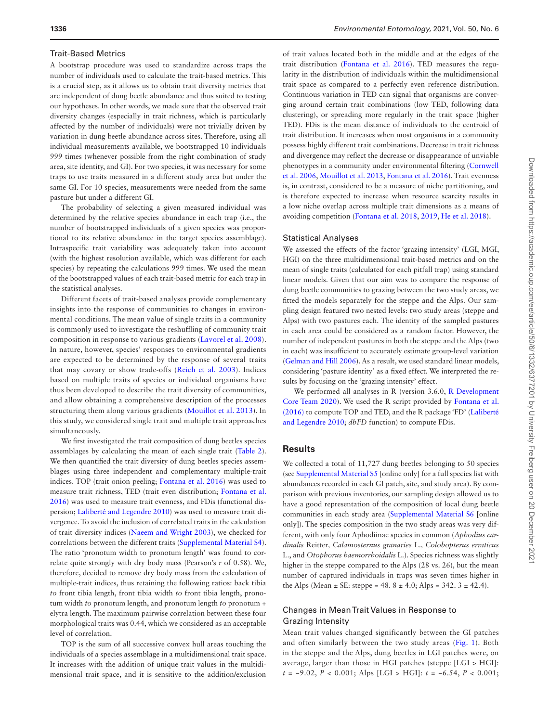## Trait-Based Metrics

A bootstrap procedure was used to standardize across traps the number of individuals used to calculate the trait-based metrics. This is a crucial step, as it allows us to obtain trait diversity metrics that are independent of dung beetle abundance and thus suited to testing our hypotheses. In other words, we made sure that the observed trait diversity changes (especially in trait richness, which is particularly affected by the number of individuals) were not trivially driven by variation in dung beetle abundance across sites. Therefore, using all individual measurements available, we bootstrapped 10 individuals 999 times (whenever possible from the right combination of study area, site identity, and GI). For two species, it was necessary for some traps to use traits measured in a different study area but under the same GI. For 10 species, measurements were needed from the same pasture but under a different GI.

The probability of selecting a given measured individual was determined by the relative species abundance in each trap (i.e., the number of bootstrapped individuals of a given species was proportional to its relative abundance in the target species assemblage). Intraspecific trait variability was adequately taken into account (with the highest resolution available, which was different for each species) by repeating the calculations 999 times. We used the mean of the bootstrapped values of each trait-based metric for each trap in the statistical analyses.

Different facets of trait-based analyses provide complementary insights into the response of communities to changes in environmental conditions. The mean value of single traits in a community is commonly used to investigate the reshuffling of community trait composition in response to various gradients ([Lavorel et al. 2008](#page-10-25)). In nature, however, species' responses to environmental gradients are expected to be determined by the response of several traits that may covary or show trade-offs ([Reich et al. 2003](#page-10-26)). Indices based on multiple traits of species or individual organisms have thus been developed to describe the trait diversity of communities, and allow obtaining a comprehensive description of the processes structuring them along various gradients ([Mouillot et al. 2013](#page-10-27)). In this study, we considered single trait and multiple trait approaches simultaneously.

We first investigated the trait composition of dung beetles species assemblages by calculating the mean of each single trait [\(Table 2\)](#page-3-0). We then quantified the trait diversity of dung beetles species assemblages using three independent and complementary multiple-trait indices. TOP (trait onion peeling; [Fontana et al. 2016\)](#page-9-24) was used to measure trait richness, TED (trait even distribution; [Fontana et al.](#page-9-24) [2016\)](#page-9-24) was used to measure trait evenness, and FDis (functional dispersion; Laliberté [and Legendre 2010\)](#page-10-28) was used to measure trait divergence. To avoid the inclusion of correlated traits in the calculation of trait diversity indices ([Naeem and Wright 2003](#page-10-29)), we checked for correlations between the different traits ([Supplemental Material S4\)](http://academic.oup.com/ee/article-lookup/doi/10.1093/ee/nvab091#supplementary-data). The ratio 'pronotum width to pronotum length' was found to correlate quite strongly with dry body mass (Pearson's *r* of 0.58). We, therefore, decided to remove dry body mass from the calculation of multiple-trait indices, thus retaining the following ratios: back tibia *to* front tibia length, front tibia width *to* front tibia length, pronotum width *to* pronotum length, and pronotum length *to* pronotum + elytra length. The maximum pairwise correlation between these four morphological traits was 0.44, which we considered as an acceptable level of correlation.

TOP is the sum of all successive convex hull areas touching the individuals of a species assemblage in a multidimensional trait space. It increases with the addition of unique trait values in the multidimensional trait space, and it is sensitive to the addition/exclusion

of trait values located both in the middle and at the edges of the trait distribution ([Fontana et al. 2016\)](#page-9-24). TED measures the regularity in the distribution of individuals within the multidimensional trait space as compared to a perfectly even reference distribution. Continuous variation in TED can signal that organisms are converging around certain trait combinations (low TED, following data clustering), or spreading more regularly in the trait space (higher TED). FDis is the mean distance of individuals to the centroid of trait distribution. It increases when most organisms in a community possess highly different trait combinations. Decrease in trait richness and divergence may reflect the decrease or disappearance of unviable phenotypes in a community under environmental filtering [\(Cornwell](#page-9-26) [et al. 2006](#page-9-26), [Mouillot et al. 2013,](#page-10-27) [Fontana et al. 2016](#page-9-24)). Trait evenness is, in contrast, considered to be a measure of niche partitioning, and is therefore expected to increase when resource scarcity results in a low niche overlap across multiple trait dimensions as a means of avoiding competition [\(Fontana et al. 2018,](#page-9-27) [2019,](#page-9-28) [He et al. 2018\)](#page-9-29).

### Statistical Analyses

We assessed the effects of the factor 'grazing intensity' (LGI, MGI, HGI) on the three multidimensional trait-based metrics and on the mean of single traits (calculated for each pitfall trap) using standard linear models. Given that our aim was to compare the response of dung beetle communities to grazing between the two study areas, we fitted the models separately for the steppe and the Alps. Our sampling design featured two nested levels: two study areas (steppe and Alps) with two pastures each. The identity of the sampled pastures in each area could be considered as a random factor. However, the number of independent pastures in both the steppe and the Alps (two in each) was insufficient to accurately estimate group-level variation ([Gelman and Hill 2006\)](#page-9-30). As a result, we used standard linear models, considering 'pasture identity' as a fixed effect. We interpreted the results by focusing on the 'grazing intensity' effect.

We performed all analyses in R (version 3.6.0, [R Development](#page-10-30) [Core Team 2020\)](#page-10-30). We used the R script provided by [Fontana et al.](#page-9-24) [\(2016\)](#page-9-24) to compute TOP and TED, and the R package 'FD' ([Lalibert](#page-10-28)é [and Legendre 2010;](#page-10-28) *dbFD* function) to compute FDis.

## **Results**

We collected a total of 11,727 dung beetles belonging to 50 species (see [Supplemental Material S5](http://academic.oup.com/ee/article-lookup/doi/10.1093/ee/nvab091#supplementary-data) [online only] for a full species list with abundances recorded in each GI patch, site, and study area). By comparison with previous inventories, our sampling design allowed us to have a good representation of the composition of local dung beetle communities in each study area ([Supplemental Material S6](http://academic.oup.com/ee/article-lookup/doi/10.1093/ee/nvab091#supplementary-data) [online only]). The species composition in the two study areas was very different, with only four Aphodiinae species in common (*Aphodius cardinalis* Reitter*, Calamosternus granaries* L.*, Colobopterus erraticus* L., and *Otophorus haemorrhoidalis* L.). Species richness was slightly higher in the steppe compared to the Alps (28 vs. 26), but the mean number of captured individuals in traps was seven times higher in the Alps (Mean  $\pm$  SE: steppe = 48. 8  $\pm$  4.0; Alps = 342. 3  $\pm$  42.4).

## Changes in Mean Trait Values in Response to Grazing Intensity

Mean trait values changed significantly between the GI patches and often similarly between the two study areas [\(Fig. 1\)](#page-5-0). Both in the steppe and the Alps, dung beetles in LGI patches were, on average, larger than those in HGI patches (steppe [LGI > HGI]: *t* = −9.02, *P* < 0.001; Alps [LGI > HGI]: *t* = −6.54, *P* < 0.001;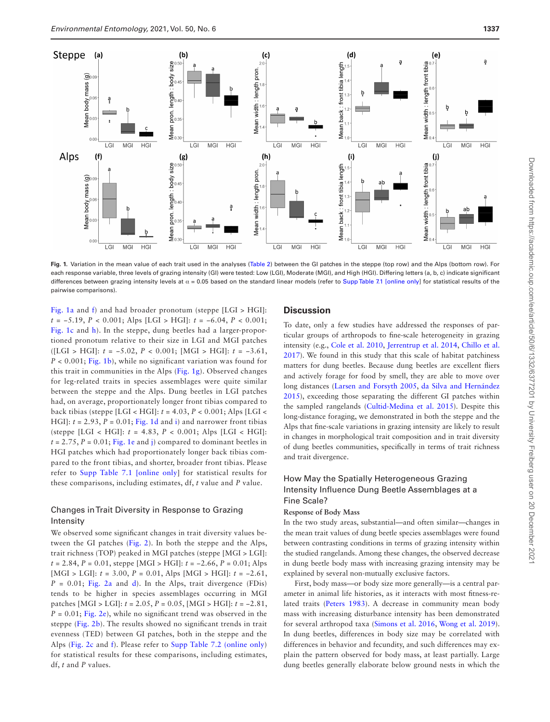

<span id="page-5-0"></span>Fig. 1. Variation in the mean value of each trait used in the analyses ([Table 2\)](#page-3-0) between the GI patches in the steppe (top row) and the Alps (bottom row). For each response variable, three levels of grazing intensity (GI) were tested: Low (LGI), Moderate (MGI), and High (HGI). Differing letters (a, b, c) indicate significant differences between grazing intensity levels at  $\alpha$  = 0.05 based on the standard linear models (refer to [Supp Table 7.1 \[online only\]](http://academic.oup.com/ee/article-lookup/doi/10.1093/ee/nvab091#supplementary-data) for statistical results of the pairwise comparisons).

[Fig. 1a](#page-5-0) and [f](#page-5-0)) and had broader pronotum (steppe [LGI > HGI]: *t* = −5.19, *P* < 0.001; Alps [LGI > HGI]: *t* = −6.04, *P* < 0.001; [Fig. 1c](#page-5-0) and [h](#page-5-0)). In the steppe, dung beetles had a larger-proportioned pronotum relative to their size in LGI and MGI patches ([LGI > HGI]: *t* = −5.02, *P* < 0.001; [MGI > HGI]: *t* = −3.61, *P* < 0.001; [Fig. 1b\)](#page-5-0), while no significant variation was found for this trait in communities in the Alps ([Fig. 1g](#page-5-0)). Observed changes for leg-related traits in species assemblages were quite similar between the steppe and the Alps. Dung beetles in LGI patches had, on average, proportionately longer front tibias compared to back tibias (steppe [LGI < HGI]: *t* = 4.03, *P* < 0.001; Alps [LGI < HGI]:  $t = 2.93$ ,  $P = 0.01$ ; [Fig. 1d](#page-5-0) and [i](#page-5-0)) and narrower front tibias (steppe [LGI < HGI]:  $t = 4.83$ ,  $P < 0.001$ ; Alps [LGI < HGI]:  $t = 2.75$ ,  $P = 0.01$ ; [Fig. 1e](#page-5-0) and [j](#page-5-0)) compared to dominant beetles in HGI patches which had proportionately longer back tibias compared to the front tibias, and shorter, broader front tibias. Please refer to [Supp Table 7.1 \[online only](http://academic.oup.com/ee/article-lookup/doi/10.1093/ee/nvab091#supplementary-data)] for statistical results for these comparisons, including estimates, df, *t* value and *P* value.

## Changes in Trait Diversity in Response to Grazing Intensity

We observed some significant changes in trait diversity values between the GI patches ([Fig. 2\)](#page-6-0). In both the steppe and the Alps, trait richness (TOP) peaked in MGI patches (steppe [MGI > LGI]: *t* = 2.84, *P* = 0.01, steppe [MGI > HGI]: *t* = −2.66, *P* = 0.01; Alps [MGI > LGI]: *t* = 3.00, *P* = 0.01, Alps [MGI > HGI]: *t* = −2.61,  $P = 0.01$ ; [Fig. 2a](#page-6-0) and [d\)](#page-6-0). In the Alps, trait divergence (FDis) tends to be higher in species assemblages occurring in MGI patches [MGI > LGI]: *t* = 2.05, *P* = 0.05, [MGI > HGI]: *t* = −2.81,  $P = 0.01$ ; [Fig. 2e](#page-6-0)), while no significant trend was observed in the steppe [\(Fig. 2b](#page-6-0)). The results showed no significant trends in trait evenness (TED) between GI patches, both in the steppe and the Alps ([Fig. 2c](#page-6-0) and [f](#page-6-0)). Please refer to [Supp Table 7.2 \(online only](http://academic.oup.com/ee/article-lookup/doi/10.1093/ee/nvab091#supplementary-data)) for statistical results for these comparisons, including estimates, df, *t* and *P* values.

## **Discussion**

To date, only a few studies have addressed the responses of particular groups of arthropods to fine-scale heterogeneity in grazing intensity (e.g., [Cole et al. 2010,](#page-9-4) [Jerrentrup et al. 2014](#page-9-5), [Chillo et al.](#page-9-6) [2017\)](#page-9-6). We found in this study that this scale of habitat patchiness matters for dung beetles. Because dung beetles are excellent fliers and actively forage for food by smell, they are able to move over long distances [\(Larsen and Forsyth 2005](#page-10-12), [da Silva and Hernández](#page-11-13) [2015\)](#page-11-13), exceeding those separating the different GI patches within the sampled rangelands ([Cultid-Medina et al. 2015](#page-9-31)). Despite this long-distance foraging, we demonstrated in both the steppe and the Alps that fine-scale variations in grazing intensity are likely to result in changes in morphological trait composition and in trait diversity of dung beetles communities, specifically in terms of trait richness and trait divergence.

## How May the Spatially Heterogeneous Grazing Intensity Influence Dung Beetle Assemblages at a Fine Scale?

## **Response of Body Mass**

In the two study areas, substantial—and often similar—changes in the mean trait values of dung beetle species assemblages were found between contrasting conditions in terms of grazing intensity within the studied rangelands. Among these changes, the observed decrease in dung beetle body mass with increasing grazing intensity may be explained by several non-mutually exclusive factors.

First, body mass—or body size more generally—is a central parameter in animal life histories, as it interacts with most fitness-related traits ([Peters 1983](#page-10-31)). A decrease in community mean body mass with increasing disturbance intensity has been demonstrated for several arthropod taxa [\(Simons et al. 2016](#page-11-14), [Wong et al. 2019](#page-11-15)). In dung beetles, differences in body size may be correlated with differences in behavior and fecundity, and such differences may explain the pattern observed for body mass, at least partially. Large dung beetles generally elaborate below ground nests in which the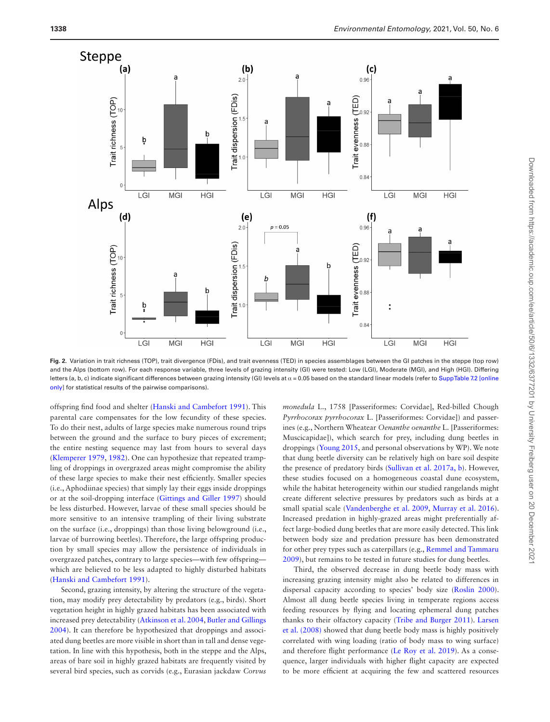

<span id="page-6-0"></span>**Fig. 2.** Variation in trait richness (TOP), trait divergence (FDis), and trait evenness (TED) in species assemblages between the GI patches in the steppe (top row) and the Alps (bottom row). For each response variable, three levels of grazing intensity (GI) were tested: Low (LGI), Moderate (MGI), and High (HGI). Differing letters (a, b, c) indicate significant differences between grazing intensity (GI) levels at  $α = 0.05$  based on the standard linear models (refer to [Supp Table 7.2 \[online](http://academic.oup.com/ee/article-lookup/doi/10.1093/ee/nvab091#supplementary-data) [only\]](http://academic.oup.com/ee/article-lookup/doi/10.1093/ee/nvab091#supplementary-data) for statistical results of the pairwise comparisons).

offspring find food and shelter ([Hanski and Cambefort 1991](#page-9-8)). This parental care compensates for the low fecundity of these species. To do their nest, adults of large species make numerous round trips between the ground and the surface to bury pieces of excrement; the entire nesting sequence may last from hours to several days ([Klemperer 1979](#page-9-32), [1982](#page-9-33)). One can hypothesize that repeated trampling of droppings in overgrazed areas might compromise the ability of these large species to make their nest efficiently. Smaller species (i.e., Aphodiinae species) that simply lay their eggs inside droppings or at the soil-dropping interface ([Gittings and Giller 1997](#page-9-34)) should be less disturbed. However, larvae of these small species should be more sensitive to an intensive trampling of their living substrate on the surface (i.e., droppings) than those living belowground (i.e., larvae of burrowing beetles). Therefore, the large offspring production by small species may allow the persistence of individuals in overgrazed patches, contrary to large species—with few offspring which are believed to be less adapted to highly disturbed habitats ([Hanski and Cambefort 1991](#page-9-8)).

Second, grazing intensity, by altering the structure of the vegetation, may modify prey detectability by predators (e.g., birds). Short vegetation height in highly grazed habitats has been associated with increased prey detectability [\(Atkinson et al. 2004,](#page-8-8) [Butler and Gillings](#page-9-35) [2004\)](#page-9-35). It can therefore be hypothesized that droppings and associated dung beetles are more visible in short than in tall and dense vegetation. In line with this hypothesis, both in the steppe and the Alps, areas of bare soil in highly grazed habitats are frequently visited by several bird species, such as corvids (e.g., Eurasian jackdaw *Corvus* 

*monedula* L., 1758 [Passeriformes: Corvidae], Red-billed Chough *Pyrrhocorax pyrrhocorax* L. [Passeriformes: Corvidae]) and passerines (e.g., Northern Wheatear *Oenanthe oenanthe* L. [Passeriformes: Muscicapidae]), which search for prey, including dung beetles in droppings ([Young 2015,](#page-11-16) and personal observations by WP). We note that dung beetle diversity can be relatively high on bare soil despite the presence of predatory birds [\(Sullivan et al. 2017a, b](#page-11-17)). However, these studies focused on a homogeneous coastal dune ecosystem, while the habitat heterogeneity within our studied rangelands might create different selective pressures by predators such as birds at a small spatial scale [\(Vandenberghe et al. 2009,](#page-11-18) [Murray et al. 2016\)](#page-10-32). Increased predation in highly-grazed areas might preferentially affect large-bodied dung beetles that are more easily detected. This link between body size and predation pressure has been demonstrated for other prey types such as caterpillars (e.g., [Remmel and Tammaru](#page-10-33) [2009\)](#page-10-33), but remains to be tested in future studies for dung beetles.

Third, the observed decrease in dung beetle body mass with increasing grazing intensity might also be related to differences in dispersal capacity according to species' body size ([Roslin 2000\)](#page-10-34). Almost all dung beetle species living in temperate regions access feeding resources by flying and locating ephemeral dung patches thanks to their olfactory capacity [\(Tribe and Burger 2011\)](#page-11-19). [Larsen](#page-10-23) [et al. \(2008\)](#page-10-23) showed that dung beetle body mass is highly positively correlated with wing loading (ratio of body mass to wing surface) and therefore flight performance ([Le Roy et al. 2019](#page-10-35)). As a consequence, larger individuals with higher flight capacity are expected to be more efficient at acquiring the few and scattered resources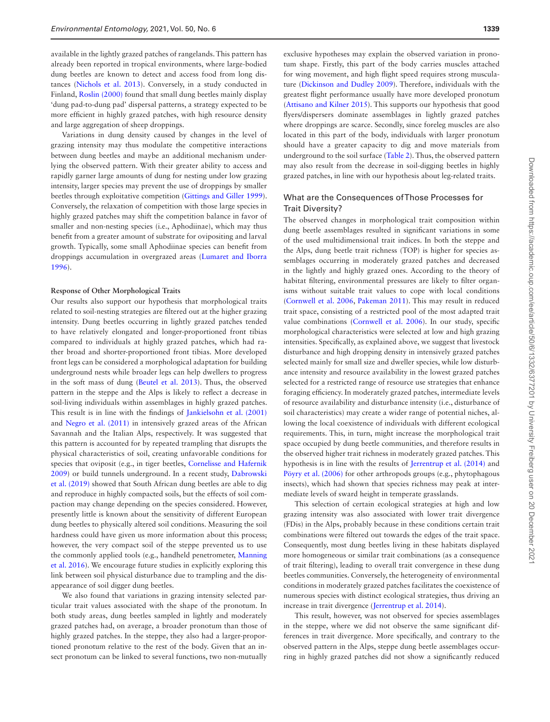available in the lightly grazed patches of rangelands. This pattern has already been reported in tropical environments, where large-bodied dung beetles are known to detect and access food from long distances ([Nichols et al. 2013](#page-10-24)). Conversely, in a study conducted in Finland, [Roslin \(2000\)](#page-10-34) found that small dung beetles mainly display 'dung pad-to-dung pad' dispersal patterns, a strategy expected to be more efficient in highly grazed patches, with high resource density and large aggregation of sheep droppings.

Variations in dung density caused by changes in the level of grazing intensity may thus modulate the competitive interactions between dung beetles and maybe an additional mechanism underlying the observed pattern. With their greater ability to access and rapidly garner large amounts of dung for nesting under low grazing intensity, larger species may prevent the use of droppings by smaller beetles through exploitative competition ([Gittings and Giller 1999](#page-9-36)). Conversely, the relaxation of competition with those large species in highly grazed patches may shift the competition balance in favor of smaller and non-nesting species (i.e., Aphodiinae), which may thus benefit from a greater amount of substrate for ovipositing and larval growth. Typically, some small Aphodiinae species can benefit from droppings accumulation in overgrazed areas [\(Lumaret and Iborra](#page-10-36) [1996\)](#page-10-36).

#### **Response of Other Morphological Traits**

Our results also support our hypothesis that morphological traits related to soil-nesting strategies are filtered out at the higher grazing intensity. Dung beetles occurring in lightly grazed patches tended to have relatively elongated and longer-proportioned front tibias compared to individuals at highly grazed patches, which had rather broad and shorter-proportioned front tibias. More developed front legs can be considered a morphological adaptation for building underground nests while broader legs can help dwellers to progress in the soft mass of dung [\(Beutel et al. 2013\)](#page-8-9). Thus, the observed pattern in the steppe and the Alps is likely to reflect a decrease in soil-living individuals within assemblages in highly grazed patches. This result is in line with the findings of [Jankielsohn et al. \(2001\)](#page-9-37) and [Negro et al. \(2011\)](#page-10-37) in intensively grazed areas of the African Savannah and the Italian Alps, respectively. It was suggested that this pattern is accounted for by repeated trampling that disrupts the physical characteristics of soil, creating unfavorable conditions for species that oviposit (e.g., in tiger beetles, [Cornelisse and Hafernik](#page-9-38) [2009\)](#page-9-38) or build tunnels underground. In a recent study, [Dabrowski](#page-9-39) [et al. \(2019\)](#page-9-39) showed that South African dung beetles are able to dig and reproduce in highly compacted soils, but the effects of soil compaction may change depending on the species considered. However, presently little is known about the sensitivity of different European dung beetles to physically altered soil conditions. Measuring the soil hardness could have given us more information about this process; however, the very compact soil of the steppe prevented us to use the commonly applied tools (e.g., handheld penetrometer, [Manning](#page-10-38) [et al. 2016\)](#page-10-38). We encourage future studies in explicitly exploring this link between soil physical disturbance due to trampling and the disappearance of soil digger dung beetles.

We also found that variations in grazing intensity selected particular trait values associated with the shape of the pronotum. In both study areas, dung beetles sampled in lightly and moderately grazed patches had, on average, a broader pronotum than those of highly grazed patches. In the steppe, they also had a larger-proportioned pronotum relative to the rest of the body. Given that an insect pronotum can be linked to several functions, two non-mutually

exclusive hypotheses may explain the observed variation in pronotum shape. Firstly, this part of the body carries muscles attached for wing movement, and high flight speed requires strong musculature [\(Dickinson and Dudley 2009\)](#page-9-40). Therefore, individuals with the greatest flight performance usually have more developed pronotum ([Attisano and Kilner 2015](#page-8-7)). This supports our hypothesis that good flyers/dispersers dominate assemblages in lightly grazed patches where droppings are scarce. Secondly, since foreleg muscles are also located in this part of the body, individuals with larger pronotum should have a greater capacity to dig and move materials from underground to the soil surface [\(Table 2\)](#page-3-0). Thus, the observed pattern may also result from the decrease in soil-digging beetles in highly grazed patches, in line with our hypothesis about leg-related traits.

## What are the Consequences of Those Processes for Trait Diversity?

The observed changes in morphological trait composition within dung beetle assemblages resulted in significant variations in some of the used multidimensional trait indices. In both the steppe and the Alps, dung beetle trait richness (TOP) is higher for species assemblages occurring in moderately grazed patches and decreased in the lightly and highly grazed ones. According to the theory of habitat filtering, environmental pressures are likely to filter organisms without suitable trait values to cope with local conditions ([Cornwell et al. 2006,](#page-9-26) [Pakeman 2011\)](#page-10-39). This may result in reduced trait space, consisting of a restricted pool of the most adapted trait value combinations [\(Cornwell et al. 2006\)](#page-9-26). In our study, specific morphological characteristics were selected at low and high grazing intensities. Specifically, as explained above, we suggest that livestock disturbance and high dropping density in intensively grazed patches selected mainly for small size and dweller species, while low disturbance intensity and resource availability in the lowest grazed patches selected for a restricted range of resource use strategies that enhance foraging efficiency. In moderately grazed patches, intermediate levels of resource availability and disturbance intensity (i.e., disturbance of soil characteristics) may create a wider range of potential niches, allowing the local coexistence of individuals with different ecological requirements. This, in turn, might increase the morphological trait space occupied by dung beetle communities, and therefore results in the observed higher trait richness in moderately grazed patches. This hypothesis is in line with the results of [Jerrentrup et al. \(2014\)](#page-9-5) and [Pöyry et al. \(2006\)](#page-10-40) for other arthropods groups (e.g., phytophagous insects), which had shown that species richness may peak at intermediate levels of sward height in temperate grasslands.

This selection of certain ecological strategies at high and low grazing intensity was also associated with lower trait divergence (FDis) in the Alps, probably because in these conditions certain trait combinations were filtered out towards the edges of the trait space. Consequently, most dung beetles living in these habitats displayed more homogeneous or similar trait combinations (as a consequence of trait filtering), leading to overall trait convergence in these dung beetles communities. Conversely, the heterogeneity of environmental conditions in moderately grazed patches facilitates the coexistence of numerous species with distinct ecological strategies, thus driving an increase in trait divergence ([Jerrentrup et al. 2014](#page-9-5)).

This result, however, was not observed for species assemblages in the steppe, where we did not observe the same significant differences in trait divergence. More specifically, and contrary to the observed pattern in the Alps, steppe dung beetle assemblages occurring in highly grazed patches did not show a significantly reduced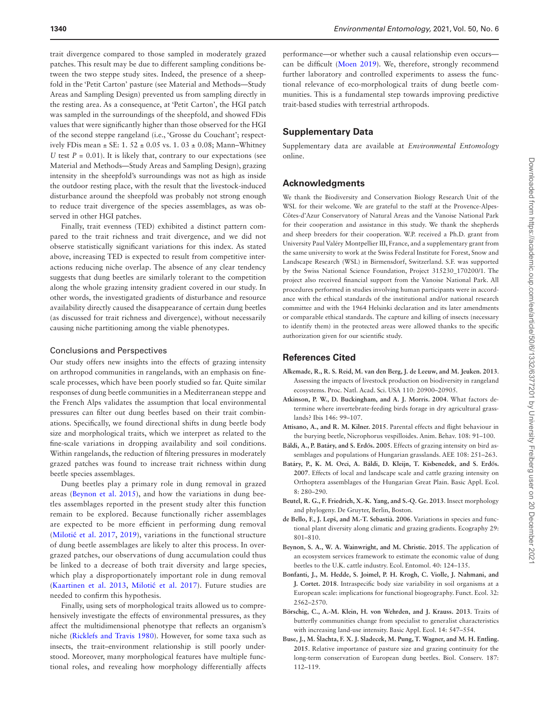trait divergence compared to those sampled in moderately grazed patches. This result may be due to different sampling conditions between the two steppe study sites. Indeed, the presence of a sheepfold in the 'Petit Carton' pasture (see Material and Methods—Study Areas and Sampling Design) prevented us from sampling directly in the resting area. As a consequence, at 'Petit Carton', the HGI patch was sampled in the surroundings of the sheepfold, and showed FDis values that were significantly higher than those observed for the HGI of the second steppe rangeland (i.e., 'Grosse du Couchant'; respectively FDis mean ± SE: 1. 52 ± 0.05 vs. 1. 03 ± 0.08; Mann–Whitney *U* test  $P = 0.01$ ). It is likely that, contrary to our expectations (see Material and Methods—Study Areas and Sampling Design), grazing intensity in the sheepfold's surroundings was not as high as inside the outdoor resting place, with the result that the livestock-induced disturbance around the sheepfold was probably not strong enough to reduce trait divergence of the species assemblages, as was observed in other HGI patches.

Finally, trait evenness (TED) exhibited a distinct pattern compared to the trait richness and trait divergence, and we did not observe statistically significant variations for this index. As stated above, increasing TED is expected to result from competitive interactions reducing niche overlap. The absence of any clear tendency suggests that dung beetles are similarly tolerant to the competition along the whole grazing intensity gradient covered in our study. In other words, the investigated gradients of disturbance and resource availability directly caused the disappearance of certain dung beetles (as discussed for trait richness and divergence), without necessarily causing niche partitioning among the viable phenotypes.

#### Conclusions and Perspectives

Our study offers new insights into the effects of grazing intensity on arthropod communities in rangelands, with an emphasis on finescale processes, which have been poorly studied so far. Quite similar responses of dung beetle communities in a Mediterranean steppe and the French Alps validates the assumption that local environmental pressures can filter out dung beetles based on their trait combinations. Specifically, we found directional shifts in dung beetle body size and morphological traits, which we interpret as related to the fine-scale variations in dropping availability and soil conditions. Within rangelands, the reduction of filtering pressures in moderately grazed patches was found to increase trait richness within dung beetle species assemblages.

Dung beetles play a primary role in dung removal in grazed areas [\(Beynon et al. 2015](#page-8-10)), and how the variations in dung beetles assemblages reported in the present study alter this function remain to be explored. Because functionally richer assemblages are expected to be more efficient in performing dung removal (Milotić [et al. 2017](#page-10-41), [2019](#page-10-42)), variations in the functional structure of dung beetle assemblages are likely to alter this process. In overgrazed patches, our observations of dung accumulation could thus be linked to a decrease of both trait diversity and large species, which play a disproportionately important role in dung removal ([Kaartinen et al. 2013,](#page-9-41) Milotić [et al. 2017](#page-10-41)). Future studies are needed to confirm this hypothesis.

Finally, using sets of morphological traits allowed us to comprehensively investigate the effects of environmental pressures, as they affect the multidimensional phenotype that reflects an organism's niche [\(Ricklefs and Travis 1980\)](#page-10-9). However, for some taxa such as insects, the trait–environment relationship is still poorly understood. Moreover, many morphological features have multiple functional roles, and revealing how morphology differentially affects

performance—or whether such a causal relationship even occurs can be difficult ([Moen 2019\)](#page-10-43). We, therefore, strongly recommend further laboratory and controlled experiments to assess the functional relevance of eco-morphological traits of dung beetle communities. This is a fundamental step towards improving predictive trait-based studies with terrestrial arthropods.

## **Supplementary Data**

Supplementary data are available at *Environmental Entomology* online.

## **Acknowledgments**

We thank the Biodiversity and Conservation Biology Research Unit of the WSL for their welcome. We are grateful to the staff at the Provence-Alpes-Côtes-d'Azur Conservatory of Natural Areas and the Vanoise National Park for their cooperation and assistance in this study. We thank the shepherds and sheep breeders for their cooperation. W.P. received a Ph.D. grant from University Paul Valéry Montpellier III, France, and a supplementary grant from the same university to work at the Swiss Federal Institute for Forest, Snow and Landscape Research (WSL) in Birmensdorf, Switzerland. S.F. was supported by the Swiss National Science Foundation, Project 315230\_170200/1. The project also received financial support from the Vanoise National Park. All procedures performed in studies involving human participants were in accordance with the ethical standards of the institutional and/or national research committee and with the 1964 Helsinki declaration and its later amendments or comparable ethical standards. The capture and killing of insects (necessary to identify them) in the protected areas were allowed thanks to the specific authorization given for our scientific study.

### **References Cited**

- <span id="page-8-0"></span>**Alkemade, R., R. S. Reid, M. van den Berg, J. de Leeuw, and M. Jeuken. 2013**. Assessing the impacts of livestock production on biodiversity in rangeland ecosystems. Proc. Natl. Acad. Sci. USA 110: 20900–20905.
- <span id="page-8-8"></span>**Atkinson, P. W., D. Buckingham, and A. J. Morris. 2004**. What factors determine where invertebrate-feeding birds forage in dry agricultural grasslands? Ibis 146: 99–107.
- <span id="page-8-7"></span>**Attisano, A., and R. M. Kilner. 2015**. Parental effects and flight behaviour in the burying beetle, Nicrophorus vespilloides. Anim. Behav. 108: 91–100.
- <span id="page-8-1"></span>**Báldi, A., P. Batáry, and S. Erd**ő**s. 2005**. Effects of grazing intensity on bird assemblages and populations of Hungarian grasslands. AEE 108: 251–263.
- <span id="page-8-3"></span>**Batáry, P., K. M. Orci, A. Báldi, D. Kleijn, T. Kisbenedek, and S. Erd**ő**s. 2007**. Effects of local and landscape scale and cattle grazing intensity on Orthoptera assemblages of the Hungarian Great Plain. Basic Appl. Ecol. 8: 280–290.
- <span id="page-8-9"></span>**Beutel, R. G., F. Friedrich, X.-K. Yang, and S.-Q. Ge. 2013**. Insect morphology and phylogeny. De Gruyter, Berlin, Boston.
- <span id="page-8-2"></span>**de Bello, F., J. Lepš, and M.-T. Sebastià. 2006**. Variations in species and functional plant diversity along climatic and grazing gradients. Ecography 29: 801–810.
- <span id="page-8-10"></span>**Beynon, S. A., W. A. Wainwright, and M. Christie. 2015**. The application of an ecosystem services framework to estimate the economic value of dung beetles to the U.K. cattle industry. Ecol. Entomol. 40: 124–135.
- <span id="page-8-6"></span>**Bonfanti, J., M. Hedde, S. Joimel, P. H. Krogh, C. Violle, J. Nahmani, and J. Cortet. 2018**. Intraspecific body size variability in soil organisms at a European scale: implications for functional biogeography. Funct. Ecol. 32: 2562–2570.
- <span id="page-8-4"></span>**Börschig, C., A.-M. Klein, H. von Wehrden, and J. Krauss. 2013**. Traits of butterfly communities change from specialist to generalist characteristics with increasing land-use intensity. Basic Appl. Ecol. 14: 547–554.
- <span id="page-8-5"></span>**Buse, J., M. Šlachta, F. X. J. Sladecek, M. Pung, T. Wagner, and M. H. Entling. 2015**. Relative importance of pasture size and grazing continuity for the long-term conservation of European dung beetles. Biol. Conserv. 187: 112–119.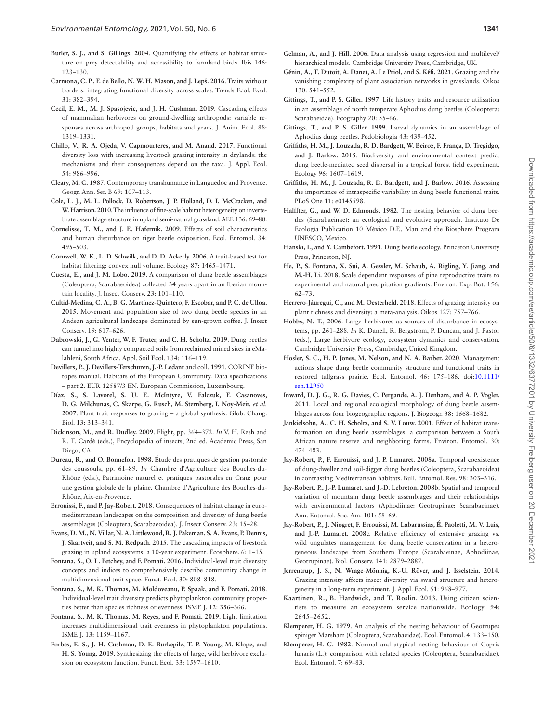- <span id="page-9-35"></span>**Butler, S. J., and S. Gillings. 2004**. Quantifying the effects of habitat structure on prey detectability and accessibility to farmland birds. Ibis 146: 123–130.
- <span id="page-9-23"></span>**Carmona, C. P., F. de Bello, N. W. H. Mason, and J. Lepš. 2016**. Traits without borders: integrating functional diversity across scales. Trends Ecol. Evol. 31: 382–394.
- <span id="page-9-0"></span>**Cecil, E. M., M. J. Spasojevic, and J. H. Cushman. 2019**. Cascading effects of mammalian herbivores on ground-dwelling arthropods: variable responses across arthropod groups, habitats and years. J. Anim. Ecol. 88: 1319–1331.
- <span id="page-9-6"></span>**Chillo, V., R. A. Ojeda, V. Capmourteres, and M. Anand. 2017**. Functional diversity loss with increasing livestock grazing intensity in drylands: the mechanisms and their consequences depend on the taxa. J. Appl. Ecol. 54: 986–996.
- <span id="page-9-15"></span>**Cleary, M. C. 1987**. Contemporary transhumance in Languedoc and Provence. Geogr. Ann. Ser. B 69: 107–113.
- <span id="page-9-4"></span>**Cole, L. J., M. L. Pollock, D. Robertson, J. P. Holland, D. I. McCracken, and W. Harrison. 2010**. The influence of fine-scale habitat heterogeneity on invertebrate assemblage structure in upland semi-natural grassland. AEE 136: 69–80.
- <span id="page-9-38"></span>**Cornelisse, T. M., and J. E. Hafernik. 2009**. Effects of soil characteristics and human disturbance on tiger beetle oviposition. Ecol. Entomol. 34: 495–503.
- <span id="page-9-26"></span>**Cornwell, W. K., L. D. Schwilk, and D. D. Ackerly. 2006**. A trait-based test for habitat filtering: convex hull volume. Ecology 87: 1465–1471.
- <span id="page-9-12"></span>**Cuesta, E., and J. M. Lobo. 2019**. A comparison of dung beetle assemblages (Coleoptera, Scarabaeoidea) collected 34 years apart in an Iberian mountain locality. J. Insect Conserv. 23: 101–110.
- <span id="page-9-31"></span>**Cultid-Medina, C. A., B. G. Martínez-Quintero, F. Escobar, and P. C. de Ulloa. 2015**. Movement and population size of two dung beetle species in an Andean agricultural landscape dominated by sun-grown coffee. J. Insect Conserv. 19: 617–626.
- <span id="page-9-39"></span>**Dabrowski, J., G. Venter, W. F. Truter, and C. H. Scholtz. 2019**. Dung beetles can tunnel into highly compacted soils from reclaimed mined sites in eMalahleni, South Africa. Appl. Soil Ecol. 134: 116–119.
- <span id="page-9-16"></span>**Devillers, P., J. Devillers-Terschuren, J.-P. Ledant** and coll. **1991**. CORINE biotopes manual. Habitats of the European Community. Data specifications – part 2. EUR 12587/3 EN. European Commission, Luxembourg.
- <span id="page-9-7"></span>**Díaz, S., S. Lavorel, S. U. E. McIntyre, V. Falczuk, F. Casanoves, D. G. Milchunas, C. Skarpe, G. Rusch, M. Sternberg, I. Noy**‐**Meir,** *et al.* **2007**. Plant trait responses to grazing – a global synthesis. Glob. Chang. Biol. 13: 313–341.
- <span id="page-9-40"></span>**Dickinson, M., and R. Dudley. 2009**. Flight, pp. 364–372. *In* V. H. Resh and R. T. Cardé (eds.), Encyclopedia of insects, 2nd ed. Academic Press, San Diego, CA.
- <span id="page-9-17"></span>**Dureau, R., and O. Bonnefon. 1998**. Étude des pratiques de gestion pastorale des coussouls, pp. 61–89. *In* Chambre d'Agriculture des Bouches-du-Rhône (eds.), Patrimoine naturel et pratiques pastorales en Crau: pour une gestion globale de la plaine. Chambre d'Agriculture des Bouches-du-Rhône, Aix-en-Provence.
- <span id="page-9-11"></span>**Errouissi, F., and P. Jay-Robert. 2018**. Consequences of habitat change in euromediterranean landscapes on the composition and diversity of dung beetle assemblages (Coleoptera, Scarabaeoidea). J. Insect Conserv. 23: 15–28.
- <span id="page-9-19"></span>**Evans, D. M., N. Villar, N. A. Littlewood, R. J. Pakeman, S. A. Evans, P. Dennis, J. Skartveit, and S. M. Redpath. 2015**. The cascading impacts of livestock grazing in upland ecosystems: a 10‐year experiment. Ecosphere. 6: 1–15.
- <span id="page-9-24"></span>**Fontana, S., O. L. Petchey, and F. Pomati. 2016**. Individual‐level trait diversity concepts and indices to comprehensively describe community change in multidimensional trait space. Funct. Ecol. 30: 808–818.
- <span id="page-9-27"></span>**Fontana, S., M. K. Thomas, M. Moldoveanu, P. Spaak, and F. Pomati. 2018**. Individual-level trait diversity predicts phytoplankton community properties better than species richness or evenness. ISME J. 12: 356–366.
- <span id="page-9-28"></span>**Fontana, S., M. K. Thomas, M. Reyes, and F. Pomati. 2019**. Light limitation increases multidimensional trait evenness in phytoplankton populations. ISME J. 13: 1159–1167.
- <span id="page-9-2"></span>**Forbes, E. S., J. H. Cushman, D. E. Burkepile, T. P. Young, M. Klope, and H. S. Young. 2019**. Synthesizing the effects of large, wild herbivore exclusion on ecosystem function. Funct. Ecol. 33: 1597–1610.
- <span id="page-9-30"></span>**Gelman, A., and J. Hill. 2006**. Data analysis using regression and multilevel/ hierarchical models. Cambridge University Press, Cambridge, UK.
- <span id="page-9-18"></span>**Génin, A., T. Dutoit, A. Danet, A. Le Priol, and S. Kéfi. 2021**. Grazing and the vanishing complexity of plant association networks in grasslands. Oikos 130: 541–552.
- <span id="page-9-34"></span>**Gittings, T., and P. S. Giller. 1997**. Life history traits and resource utilisation in an assemblage of north temperate Aphodius dung beetles (Coleoptera: Scarabaeidae). Ecography 20: 55–66.
- <span id="page-9-36"></span>**Gittings, T., and P. S. Giller. 1999**. Larval dynamics in an assemblage of Aphodius dung beetles. Pedobiologia 43: 439–452.
- <span id="page-9-25"></span>**Griffiths, H. M., J. Louzada, R. D. Bardgett, W. Beiroz, F. França, D. Tregidgo, and J. Barlow. 2015**. Biodiversity and environmental context predict dung beetle-mediated seed dispersal in a tropical forest field experiment. Ecology 96: 1607–1619.
- <span id="page-9-22"></span>**Griffiths, H. M., J. Louzada, R. D. Bardgett, and J. Barlow. 2016**. Assessing the importance of intraspecific variability in dung beetle functional traits. PLoS One 11: e0145598.
- <span id="page-9-9"></span>**Halffter, G., and W. D. Edmonds. 1982**. The nesting behavior of dung beetles (Scarabaeinae): an ecological and evolutive approach. Instituto De Ecología Publication 10 México D.F., Man and the Biosphere Program UNESCO, Mexico.
- <span id="page-9-8"></span>**Hanski, I., and Y. Cambefort. 1991**. Dung beetle ecology. Princeton University Press, Princeton, NJ.
- <span id="page-9-29"></span>**He, P., S. Fontana, X. Sui, A. Gessler, M. Schaub, A. Rigling, Y. Jiang, and M.-H. Li. 2018**. Scale dependent responses of pine reproductive traits to experimental and natural precipitation gradients. Environ. Exp. Bot. 156: 62–73.
- <span id="page-9-3"></span>**Herrero**‐**Jáuregui, C., and M. Oesterheld. 2018**. Effects of grazing intensity on plant richness and diversity: a meta-analysis. Oikos 127: 757–766.
- <span id="page-9-1"></span>**Hobbs, N. T.**, **2006**. Large herbivores as sources of disturbance in ecosystems, pp. 261–288. *In* K. Danell, R. Bergstrom, P. Duncan, and J. Pastor (eds.), Large herbivore ecology, ecosystem dynamics and conservation. Cambridge University Press, Cambridge, United Kingdom.
- <span id="page-9-14"></span>**Hosler, S. C., H. P. Jones, M. Nelson, and N. A. Barber. 2020**. Management actions shape dung beetle community structure and functional traits in restored tallgrass prairie. Ecol. Entomol. 46: 175–186. doi:[10.1111/](https://doi.org/10.1111/een.12950) [een.12950](https://doi.org/10.1111/een.12950)
- <span id="page-9-13"></span>**Inward, D. J. G., R. G. Davies, C. Pergande, A. J. Denham, and A. P. Vogler. 2011**. Local and regional ecological morphology of dung beetle assemblages across four biogeographic regions. J. Biogeogr. 38: 1668–1682.
- <span id="page-9-37"></span>**Jankielsohn, A., C. H. Scholtz, and S. V. Louw. 2001**. Effect of habitat transformation on dung beetle assemblages: a comparison between a South African nature reserve and neighboring farms. Environ. Entomol. 30: 474–483.
- <span id="page-9-21"></span>**Jay-Robert, P., F. Errouissi, and J. P. Lumaret. 2008a**. Temporal coexistence of dung-dweller and soil-digger dung beetles (Coleoptera, Scarabaeoidea) in contrasting Mediterranean habitats. Bull. Entomol. Res. 98: 303–316.
- <span id="page-9-20"></span>**Jay-Robert, P., J.-P. Lumaret, and J.-D. Lebreton. 2008b**. Spatial and temporal variation of mountain dung beetle assemblages and their relationships with environmental factors (Aphodiinae: Geotrupinae: Scarabaeinae). Ann. Entomol. Soc. Am. 101: 58–69.
- <span id="page-9-10"></span>**Jay-Robert, P., J. Niogret, F. Errouissi, M. Labarussias, É. Paoletti, M. V. Luis, and J.-P. Lumaret. 2008c**. Relative efficiency of extensive grazing vs. wild ungulates management for dung beetle conservation in a heterogeneous landscape from Southern Europe (Scarabaeinae, Aphodiinae, Geotrupinae). Biol. Conserv. 141: 2879–2887.
- <span id="page-9-5"></span>**Jerrentrup, J. S., N. Wrage**‐**Mönnig, K.-U. Röver, and J. Isselstein. 2014**. Grazing intensity affects insect diversity via sward structure and heterogeneity in a long-term experiment. J. Appl. Ecol. 51: 968–977.
- <span id="page-9-41"></span>**Kaartinen, R., B. Hardwick, and T. Roslin. 2013**. Using citizen scientists to measure an ecosystem service nationwide. Ecology. 94: 2645–2652.
- <span id="page-9-32"></span>**Klemperer, H. G. 1979**. An analysis of the nesting behaviour of Geotrupes spiniger Marsham (Coleoptera, Scarabaeidae). Ecol. Entomol. 4: 133–150.
- <span id="page-9-33"></span>**Klemperer, H. G. 1982**. Normal and atypical nesting behaviour of Copris lunaris (L.): comparison with related species (Coleoptera, Scarabaeidae). Ecol. Entomol. 7: 69–83.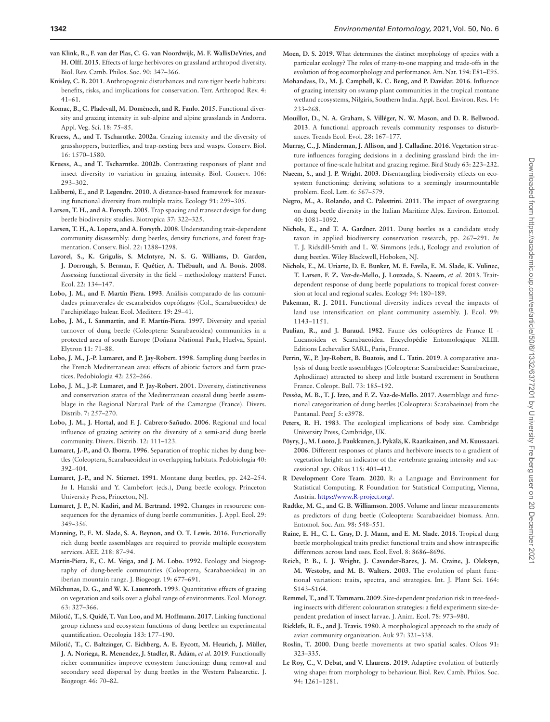- <span id="page-10-1"></span>**van Klink, R., F. van der Plas, C. G. van Noordwijk, M. F. WallisDeVries, and H. Olff. 2015**. Effects of large herbivores on grassland arthropod diversity. Biol. Rev. Camb. Philos. Soc. 90: 347–366.
- <span id="page-10-5"></span>**Knisley, C. B. 2011**. Anthropogenic disturbances and rare tiger beetle habitats: benefits, risks, and implications for conservation. Terr. Arthropod Rev. 4: 41–61.
- <span id="page-10-3"></span>**Komac, B., C. Pladevall, M. Domènech, and R. Fanlo. 2015**. Functional diversity and grazing intensity in sub-alpine and alpine grasslands in Andorra. Appl. Veg. Sci. 18: 75–85.
- <span id="page-10-0"></span>**Kruess, A., and T. Tscharntke. 2002a**. Grazing intensity and the diversity of grasshoppers, butterflies, and trap-nesting bees and wasps. Conserv. Biol. 16: 1570–1580.
- <span id="page-10-4"></span>**Kruess, A., and T. Tscharntke. 2002b**. Contrasting responses of plant and insect diversity to variation in grazing intensity. Biol. Conserv. 106: 293–302.
- <span id="page-10-28"></span>**Laliberté, E., and P. Legendre. 2010**. A distance-based framework for measuring functional diversity from multiple traits. Ecology 91: 299–305.
- <span id="page-10-12"></span>**Larsen, T. H., and A. Forsyth. 2005**. Trap spacing and transect design for dung beetle biodiversity studies. Biotropica 37: 322–325.
- <span id="page-10-23"></span>**Larsen, T. H., A. Lopera, and A. Forsyth. 2008**. Understanding trait-dependent community disassembly: dung beetles, density functions, and forest fragmentation. Conserv. Biol. 22: 1288–1298.
- <span id="page-10-25"></span>**Lavorel, S., K. Grigulis, S. McIntyre, N. S. G. Williams, D. Garden, J. Dorrough, S. Berman, F. Quétier, A. Thébault, and A. Bonis. 2008**. Assessing functional diversity in the field – methodology matters! Funct. Ecol. 22: 134–147.
- <span id="page-10-18"></span>**Lobo, J. M., and F. Martín Piera. 1993**. Análisis comparado de las comunidades primaverales de escarabeidos coprófagos (Col., Scarabaeoidea) de l'archipiélago balear. Ecol. Mediterr. 19: 29–41.
- <span id="page-10-19"></span>**Lobo, J. M., I. Sanmartín, and F. Martín-Piera. 1997**. Diversity and spatial turnover of dung beetle (Coleoptera: Scarabaeoidea) communities in a protected area of south Europe (Doñana National Park, Huelva, Spain). Elytron 11: 71–88.
- <span id="page-10-14"></span>**Lobo, J. M., J.-P. Lumaret, and P. Jay-Robert. 1998**. Sampling dung beetles in the French Mediterranean area: effects of abiotic factors and farm practices. Pedobiologia 42: 252–266.
- <span id="page-10-15"></span>**Lobo, J. M., J.-P. Lumaret, and P. Jay-Robert. 2001**. Diversity, distinctiveness and conservation status of the Mediterranean coastal dung beetle assemblage in the Regional Natural Park of the Camargue (France). Divers. Distrib. 7: 257–270.
- <span id="page-10-16"></span>**Lobo, J. M., J. Hortal, and F. J. Cabrero**‐**Sañudo. 2006**. Regional and local influence of grazing activity on the diversity of a semi-arid dung beetle community. Divers. Distrib. 12: 111–123.
- <span id="page-10-36"></span>**Lumaret, J.-P., and O. Iborra. 1996**. Separation of trophic niches by dung beetles (Coleoptera, Scarabaeoidea) in overlapping habitats. Pedobiologia 40: 392–404.
- <span id="page-10-10"></span>**Lumaret, J.-P., and N. Stiernet. 1991**. Montane dung beetles, pp. 242–254. *In* I. Hanski and Y. Cambefort (eds.), Dung beetle ecology. Princeton University Press, Princeton, NJ.
- <span id="page-10-6"></span>**Lumaret, J. P., N. Kadiri, and M. Bertrand. 1992**. Changes in resources: consequences for the dynamics of dung beetle communities. J. Appl. Ecol. 29: 349–356.
- <span id="page-10-38"></span>**Manning, P., E. M. Slade, S. A. Beynon, and O. T. Lewis. 2016**. Functionally rich dung beetle assemblages are required to provide multiple ecosystem services. AEE. 218: 87–94.
- <span id="page-10-17"></span>**Martin-Piera, F., C. M. Veiga, and J. M. Lobo. 1992**. Ecology and biogeography of dung-beetle communities (Coleoptera, Scarabaeoidea) in an iberian mountain range. J. Biogeogr. 19: 677–691.
- <span id="page-10-2"></span>**Milchunas, D. G., and W. K. Lauenroth. 1993**. Quantitative effects of grazing on vegetation and soils over a global range of environments. Ecol. Monogr. 63: 327–366.
- <span id="page-10-41"></span>**Miloti**ć**, T., S. Quidé, T. Van Loo, and M. Hoffmann. 2017**. Linking functional group richness and ecosystem functions of dung beetles: an experimental quantification. Oecologia 183: 177–190.
- <span id="page-10-42"></span>**Miloti**ć**, T., C. Baltzinger, C. Eichberg, A. E. Eycott, M. Heurich, J. Müller, J. A. Noriega, R. Menendez, J. Stadler, R. Ádám,** *et al.* **2019**. Functionally richer communities improve ecosystem functioning: dung removal and secondary seed dispersal by dung beetles in the Western Palaearctic. J. Biogeogr. 46: 70–82.
- <span id="page-10-43"></span>**Moen, D. S. 2019**. What determines the distinct morphology of species with a particular ecology? The roles of many-to-one mapping and trade-offs in the evolution of frog ecomorphology and performance. Am. Nat. 194: E81–E95.
- <span id="page-10-13"></span>**Mohandass, D., M. J. Campbell, K. C. Beng, and P. Davidar. 2016**. Influence of grazing intensity on swamp plant communities in the tropical montane wetland ecosystems, Nilgiris, Southern India. Appl. Ecol. Environ. Res. 14: 233–268.
- <span id="page-10-27"></span>**Mouillot, D., N. A. Graham, S. Villéger, N. W. Mason, and D. R. Bellwood. 2013**. A functional approach reveals community responses to disturbances. Trends Ecol. Evol. 28: 167–177.
- <span id="page-10-32"></span>**Murray, C., J. Minderman, J. Allison, and J. Calladine. 2016**. Vegetation structure influences foraging decisions in a declining grassland bird: the importance of fine-scale habitat and grazing regime. Bird Study 63: 223–232.
- <span id="page-10-29"></span>**Naeem, S., and J. P. Wright. 2003**. Disentangling biodiversity effects on ecosystem functioning: deriving solutions to a seemingly insurmountable problem. Ecol. Lett. 6: 567–579.
- <span id="page-10-37"></span>**Negro, M., A. Rolando, and C. Palestrini. 2011**. The impact of overgrazing on dung beetle diversity in the Italian Maritime Alps. Environ. Entomol. 40: 1081–1092.
- <span id="page-10-22"></span>**Nichols, E., and T. A. Gardner. 2011**. Dung beetles as a candidate study taxon in applied biodiversity conservation research, pp. 267–291. *In* T. J. Ridsdill-Smith and L. W. Simmons (eds.), Ecology and evolution of dung beetles. Wiley Blackwell, Hoboken, NJ.
- <span id="page-10-24"></span>**Nichols, E., M. Uriarte, D. E. Bunker, M. E. Favila, E. M. Slade, K. Vulinec, T. Larsen, F. Z. Vaz-de-Mello, J. Louzada, S. Naeem,** *et al.* **2013**. Traitdependent response of dung beetle populations to tropical forest conversion at local and regional scales. Ecology 94: 180–189.
- <span id="page-10-39"></span>Pakeman, R. J. 2011. Functional diversity indices reveal the impacts of land use intensification on plant community assembly. J. Ecol. 99: 1143–1151.
- <span id="page-10-20"></span>**Paulian, R., and J. Baraud. 1982**. Faune des coléoptères de France II - Lucanoidea et Scarabaeoidea. Encyclopédie Entomologique XLIII. Editions Lechevalier SARL, Paris, France.
- <span id="page-10-11"></span>**Perrin, W., P. Jay-Robert, B. Buatois, and L. Tatin. 2019**. A comparative analysis of dung beetle assemblages (Coleoptera: Scarabaeidae: Scarabaeinae, Aphodiinae) attracted to sheep and little bustard excrement in Southern France. Coleopt. Bull. 73: 185–192.
- <span id="page-10-7"></span>**Pessôa, M. B., T. J. Izzo, and F. Z. Vaz-de-Mello. 2017**. Assemblage and functional categorization of dung beetles (Coleoptera: Scarabaeinae) from the Pantanal. PeerJ 5: e3978.
- <span id="page-10-31"></span>**Peters, R. H. 1983**. The ecological implications of body size. Cambridge University Press, Cambridge, UK.
- <span id="page-10-40"></span>**Pöyry, J., M. Luoto, J. Paukkunen, J. Pykälä, K. Raatikainen, and M. Kuussaari. 2006**. Different responses of plants and herbivore insects to a gradient of vegetation height: an indicator of the vertebrate grazing intensity and successional age. Oikos 115: 401–412.
- <span id="page-10-30"></span>**R Development Core Team**. **2020**. R: a Language and Environment for Statistical Computing. R Foundation for Statistical Computing, Vienna, Austria. [https://www.R-project.org/.](https://www.R-project.org/)
- <span id="page-10-21"></span>**Radtke, M. G., and G. B. Williamson. 2005**. Volume and linear measurements as predictors of dung beetle (Coleoptera: Scarabaeidae) biomass. Ann. Entomol. Soc. Am. 98: 548–551.
- <span id="page-10-8"></span>**Raine, E. H., C. L. Gray, D. J. Mann, and E. M. Slade. 2018**. Tropical dung beetle morphological traits predict functional traits and show intraspecific differences across land uses. Ecol. Evol. 8: 8686–8696.
- <span id="page-10-26"></span>**Reich, P. B., I. J. Wright, J. Cavender**‐**Bares, J. M. Craine, J. Oleksyn, M. Westoby, and M. B. Walters. 2003**. The evolution of plant functional variation: traits, spectra, and strategies. Int. J. Plant Sci. 164: S143–S164.
- <span id="page-10-33"></span>**Remmel, T., and T. Tammaru. 2009**. Size-dependent predation risk in tree-feeding insects with different colouration strategies: a field experiment: size-dependent predation of insect larvae. J. Anim. Ecol. 78: 973–980.
- <span id="page-10-9"></span>**Ricklefs, R. E., and J. Travis. 1980**. A morphological approach to the study of avian community organization. Auk 97: 321–338.
- <span id="page-10-34"></span>**Roslin, T. 2000**. Dung beetle movements at two spatial scales. Oikos 91: 323–335.
- <span id="page-10-35"></span>**Le Roy, C., V. Debat, and V. Llaurens. 2019**. Adaptive evolution of butterfly wing shape: from morphology to behaviour. Biol. Rev. Camb. Philos. Soc. 94: 1261–1281.